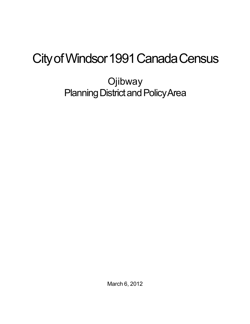## City of Windsor 1991 Canada Census

**Ojibway** Planning District and Policy Area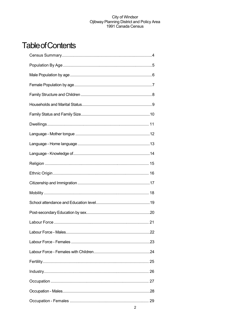## **Table of Contents**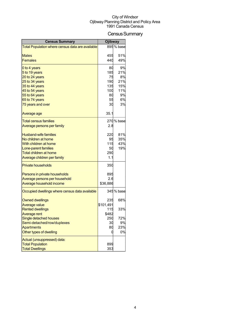## Census Summary

| <b>Census Summary</b>                                 | <b>Ojibway</b> |            |
|-------------------------------------------------------|----------------|------------|
| Total Population where census data are available      |                | 895 % base |
|                                                       |                |            |
| <b>Males</b>                                          | 455            | 51%        |
| <b>Females</b>                                        | 440            | 49%        |
| 0 to 4 years                                          | 80             | 9%         |
| 5 to 19 years                                         | 185            | 21%        |
| 20 to 24 years                                        | 75             | 8%         |
| 25 to 34 years                                        | 190            | 21%        |
| 35 to 44 years                                        | 135            | 15%        |
| 45 to 54 years                                        | 100            | 11%        |
| 55 to 64 years<br>65 to 74 years                      | 80<br>55       | 9%<br>6%   |
| 75 years and over                                     | 30             | 3%         |
|                                                       |                |            |
| Average age                                           | 35.1           |            |
| <b>Total census families</b>                          |                | 270 % base |
| <u>Average persons per family</u>                     | 2.8            |            |
|                                                       |                |            |
| <b>Husband-wife families</b>                          | 220            | 81%        |
| No children at home                                   | 95             | 35%        |
| With children at home                                 | 115            | 43%        |
| Lone-parent families<br><b>Total children at home</b> | 50             | 19%        |
|                                                       | 290            |            |
| Average children per family                           | 1.1            |            |
| <b>Private households</b>                             | 350            |            |
| Persons in private households                         | 895            |            |
| Average persons per household                         | 2.6            |            |
| Average household income                              | \$36,886       |            |
| Occupied dwellings where census data available        |                | 345 % base |
| <b>Owned dwellings</b>                                | 235            | 68%        |
| <b>Average value</b>                                  | \$101,491      |            |
| <b>Rented dwellings</b>                               | 115            | 33%        |
| <b>Average rent</b>                                   | \$482          |            |
| Single detached houses                                | 250            | 72%        |
| Semi-detached/row/duplexes                            | 30             | 9%         |
| <b>Apartments</b>                                     | 80             | 23%        |
| Other types of dwelling                               | 0              | 0%         |
| Actual (unsuppressed) data:                           |                |            |
| <b>Total Population</b>                               | 899            |            |
| <b>Total Dwellings</b>                                | 353            |            |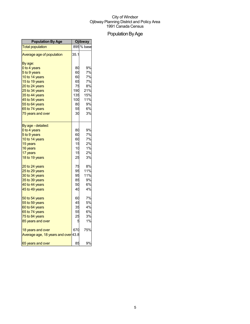## Population By Age

| <b>Population By Age</b>            | <b>Ojibway</b> |            |
|-------------------------------------|----------------|------------|
| <b>Total population</b>             |                | 895 % base |
| Average age of population           | 35.1           |            |
| By age:                             |                |            |
| 0 to 4 years                        | 80             | 9%         |
| 5 to 9 years                        | 60             | 7%         |
| 10 to 14 years                      | 60             | 7%         |
| 15 to 19 years                      | 65             | 7%         |
| 20 to 24 years                      | 75             | 8%         |
| 25 to 34 years                      | 190            | 21%        |
| 35 to 44 years                      | 135            | 15%        |
| 45 to 54 years                      | 100            | 11%        |
| 55 to 64 years                      | 80             | 9%         |
| 65 to 74 years                      | 55             | 6%         |
| 75 years and over                   | 30             | 3%         |
| By age - detailed:                  |                |            |
| 0 to 4 years                        | 80             | 9%         |
| 5 to 9 years                        | 60             | 7%         |
| 10 to 14 years                      | 60             | 7%         |
| 15 years                            | 15             | 2%         |
| 16 years                            | 10             | $1\%$      |
| 17 years                            | 15             | 2%         |
| 18 to 19 years                      | 25             | 3%         |
| 20 to 24 years                      | 75             | 8%         |
| 25 to 29 years                      | 95             | 11%        |
| 30 to 34 years                      | 95             | 11%        |
| 35 to 39 years                      | 85             | 9%         |
| 40 to 44 years                      | 50             | 6%         |
| 45 to 49 years                      | 40             | 4%         |
| 50 to 54 years                      | 60             | 7%         |
| 55 to 59 years                      | 45             | 5%         |
| 60 to 64 years                      | 35             | 4%         |
| 65 to 74 years                      | 55             | 6%         |
| 75 to 84 years                      | 25             | 3%         |
| 85 years and over                   | 5              | 1%         |
| 18 years and over                   | 670            | 75%        |
| Average age, 18 years and over 43.8 |                |            |
| 65 years and over                   | 85             | 9%         |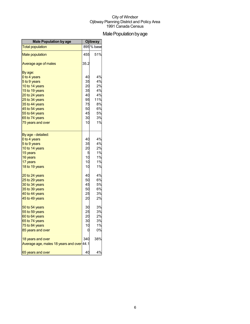## Male Population by age

| <b>Male Population by age</b>             |      | <b>Ojibway</b> |
|-------------------------------------------|------|----------------|
| <b>Total population</b>                   |      | 895 % base     |
| <b>Male population</b>                    | 455  | 51%            |
| Average age of males                      | 35.2 |                |
| By age:                                   |      |                |
| 0 to 4 years                              | 40   | 4%             |
| 5 to 9 years                              | 35   | 4%             |
| 10 to 14 years                            | 20   | 2%             |
| 15 to 19 years                            | 35   | 4%             |
| 20 to 24 years                            | 40   | 4%             |
| 25 to 34 years                            | 95   | 11%            |
| 35 to 44 years                            | 75   | 8%             |
| 45 to 54 years                            | 50   | 6%             |
| 55 to 64 years                            | 45   | 5%             |
| 65 to 74 years                            | 30   | 3%             |
| 75 years and over                         | 10   | 1%             |
| By age - detailed:                        |      |                |
| 0 to 4 years                              | 40   | 4%             |
| 5 to 9 years                              | 35   | 4%             |
| 10 to 14 years                            | 20   | 2%             |
| 15 years                                  | 5    | 1%             |
| 16 years                                  | 10   | 1%             |
| 17 years                                  | 10   | 1%             |
| 18 to 19 years                            | 10   | 1%             |
| 20 to 24 years                            | 40   | 4%             |
| 25 to 29 years                            | 50   | 6%             |
| 30 to 34 years                            | 45   | 5%             |
| 35 to 39 years                            | 50   | 6%             |
| 40 to 44 years                            | 25   | 3%             |
| 45 to 49 years                            | 20   | 2%             |
| 50 to 54 years                            | 30   | 3%             |
| 55 to 59 years                            | 25   | 3%             |
| 60 to 64 years                            | 20   | 2%             |
| 65 to 74 years                            | 30   | 3%             |
| 75 to 84 years                            | 10   | 1%             |
| 85 years and over                         | 0    | 0%             |
| 18 years and over                         | 340  | 38%            |
| Average age, males 18 years and over 44.1 |      |                |
| 65 years and over                         | 40   | 4%             |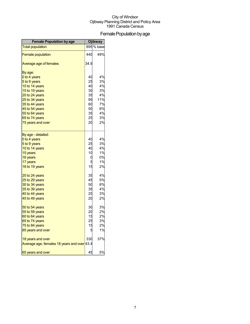## Female Population by age

| <b>Female Population by age</b>             |      | <b>Ojibway</b> |
|---------------------------------------------|------|----------------|
| <b>Total population</b>                     |      | 895 % base     |
| <b>Female population</b>                    | 440  | 49%            |
| Average age of females                      | 34.9 |                |
| By age:                                     |      |                |
| 0 to 4 years                                | 40   | 4%             |
| 5 to 9 years                                | 25   | 3%             |
| 10 to 14 years                              | 40   | 4%             |
| 15 to 19 years                              | 30   | 3%             |
| 20 to 24 years                              | 35   | 4%             |
| 25 to 34 years                              | 95   | 11%            |
| 35 to 44 years                              | 60   | 7%             |
| 45 to 54 years                              | 50   | 6%             |
| 55 to 64 years                              | 35   | 4%             |
| 65 to 74 years                              | 25   | 3%             |
| 75 years and over                           | 20   | 2%             |
| By age - detailed:                          |      |                |
| 0 to 4 years                                | 40   | 4%             |
| 5 to 9 years                                | 25   | 3%             |
| 10 to 14 years                              | 40   | 4%             |
| 15 years                                    | 10   | 1%             |
| 16 years                                    | 0    | 0%             |
| 17 years                                    | 5    | 1%             |
| 18 to 19 years                              | 15   | 2%             |
| 20 to 24 years                              | 35   | 4%             |
| 25 to 29 years                              | 45   | 5%             |
| 30 to 34 years                              | 50   | 6%             |
| 35 to 39 years                              | 35   | 4%             |
| 40 to 44 years                              | 25   | 3%             |
| 45 to 49 years                              | 20   | 2%             |
| 50 to 54 years                              | 30   | 3%             |
| 55 to 59 years                              | 20   | 2%             |
| 60 to 64 years                              | 15   | 2%             |
| 65 to 74 years                              | 25   | 3%             |
| 75 to 84 years                              | 15   | 2%             |
| 85 years and over                           |      | 1%             |
| 18 years and over                           | 330  | 37%            |
| Average age, females 18 years and over 43.4 |      |                |
| 65 years and over                           | 45   | 5%             |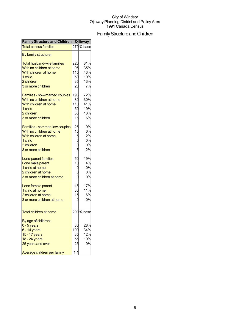## Family Structure and Children

| <b>Family Structure and Children</b> Ojibway |             |            |
|----------------------------------------------|-------------|------------|
| <b>Total census families</b>                 |             | 270 % base |
| By family structure:                         |             |            |
| <b>Total husband-wife families</b>           | 220         | 81%        |
| With no children at home                     | 95          | 35%        |
| With children at home                        | 115         | 43%        |
| 1 child                                      | 50          | 19%        |
| 2 children                                   | 35          | 13%        |
| 3 or more children                           | 20          | 7%         |
| <b>Families - now-married couples</b>        | 195         | 72%        |
| With no children at home                     | 80          | 30%        |
| With children at home                        | 110         | 41%        |
| 1 child                                      | 50          | 19%        |
| 2 children                                   | 35          | 13%        |
| 3 or more children                           | 15          | 6%         |
| Families - common-law couples                | 25          | 9%         |
| With no children at home                     | 15          | 6%         |
| With children at home                        |             | 2%         |
| 1 child                                      | 5<br>0<br>0 | 0%         |
| 2 children                                   |             | 0%         |
| 3 or more children                           | 5           | 2%         |
| Lone-parent families                         | 50          | 19%        |
| Lone male parent                             | 10          | 4%         |
| 1 child at home                              | q           | 0%         |
| 2 children at home                           |             | 0%         |
| 3 or more children at home                   |             | 0%         |
|                                              |             |            |
| Lone female parent                           | 45          | 17%        |
| 1 child at home                              | 30          | 11%        |
| 2 children at home                           | 15          | 6%         |
| 3 or more children at home                   | 0           | 0%         |
| <b>Total children at home</b>                |             | 290 % base |
| By age of children:                          |             |            |
| $0 - 5$ years                                | 80          | 28%        |
| $6 - 14$ years                               | 100         | 34%        |
| 15 - 17 years                                | 35          | 12%        |
| 18 - 24 years                                | 55          | 19%        |
| 25 years and over                            | 25          | 9%         |
| Average children per family                  | 1.1         |            |
|                                              |             |            |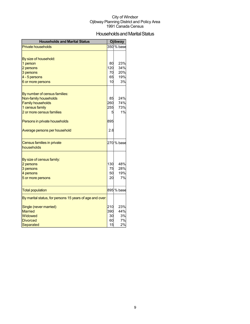## Households and Marital Status

| <b>Households and Marital Status</b>                     |     | <b>Ojibway</b> |
|----------------------------------------------------------|-----|----------------|
| <b>Private households</b>                                |     | 350 % base     |
|                                                          |     |                |
| By size of household:                                    |     |                |
| 1 person                                                 | 80  | 23%            |
| 2 persons                                                | 120 | 34%            |
| 3 persons                                                | 70  | 20%            |
| 4 - 5 persons                                            | 65  | 19%            |
| 6 or more persons                                        | 10  | 3%             |
|                                                          |     |                |
| By number of census families:                            |     |                |
| Non-family households                                    | 85  | 24%            |
| <b>Family households</b>                                 | 260 | 74%            |
| 1 census family                                          | 255 | 73%            |
| 2 or more census families                                | 5   | 1%             |
| Persons in private households                            | 895 |                |
| Average persons per household                            | 2.6 |                |
|                                                          |     |                |
| Census families in private<br>households                 |     | 270 % base     |
|                                                          |     |                |
| By size of census family:                                |     |                |
| 2 persons                                                | 130 | 48%            |
| 3 persons                                                | 75  | 28%            |
| 4 persons                                                | 50  | 19%            |
| 5 or more persons                                        | 20  | 7%             |
|                                                          |     |                |
| <b>Total population</b>                                  |     | 895 % base     |
| By marital status, for persons 15 years of age and over: |     |                |
| Single (never married)                                   | 210 | 23%            |
| <b>Married</b>                                           | 390 | 44%            |
| Widowed                                                  | 30  | 3%             |
| <b>Divorced</b>                                          | 60  | 7%             |
| Separated                                                | 15  | 2%             |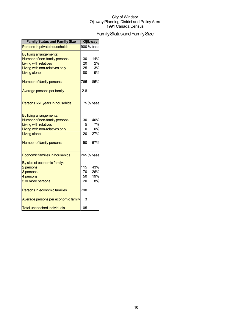## Family Status and Family Size

| <b>Family Status and Family Size</b>                                                                                                                                  |                       | <b>Ojibway</b>                |
|-----------------------------------------------------------------------------------------------------------------------------------------------------------------------|-----------------------|-------------------------------|
| Persons in private households                                                                                                                                         |                       | 900 % base                    |
| By living arrangements:<br>Number of non-family persons<br><b>Living with relatives</b><br>Living with non-relatives only<br>Living alone                             | 130<br>20<br>25<br>80 | 14%<br>2%<br>3%<br>9%         |
| Number of family persons                                                                                                                                              | 765                   | 85%                           |
| Average persons per family                                                                                                                                            | 2.8                   |                               |
| Persons 65+ years in househlds                                                                                                                                        |                       | 75% base                      |
| By living arrangements:<br>Number of non-family persons<br><b>Living with relatives</b><br>Living with non-relatives only<br>Living alone<br>Number of family persons | 30<br>20<br>50        | 40%<br>7%<br>0%<br>27%<br>67% |
| <b>Economic families in househlds</b>                                                                                                                                 |                       | 265 % base                    |
| By size of economic family:<br>2 persons<br>3 persons<br>4 persons<br>5 or more persons                                                                               | 115<br>70<br>50<br>20 | 43%<br>26%<br>19%<br>8%       |
| Persons in economic families                                                                                                                                          | 790                   |                               |
| Average persons per economic family                                                                                                                                   |                       |                               |
| <b>Total unattached individuals</b>                                                                                                                                   | 105                   |                               |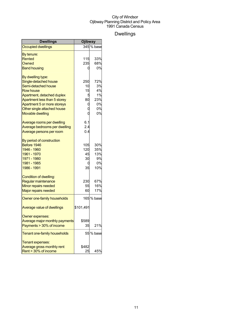## Dwellings

| <b>Dwellings</b>               | Ojibway   |            |
|--------------------------------|-----------|------------|
| <b>Occupied dwellings</b>      |           | 345 % base |
| By tenure:                     |           |            |
| Rented                         | 115       | 33%        |
| Owned                          | 235       | 68%        |
| <b>Band housing</b>            | 0         | 0%         |
| By dwelling type:              |           |            |
| Single-detached house          | 250       | 72%        |
| Semi-detached house            | 10        | 3%         |
| <b>Row house</b>               | 15        | 4%         |
| Apartment, detached duplex     | 5         | 1%         |
| Apartment less than 5 storey   | 80        | 23%        |
| Apartment 5 or more storeys    | O         | 0%         |
| Other single attached house    | O         | 0%         |
| <b>Movable dwelling</b>        | O         | 0%         |
| Average rooms per dwelling     | 6.1       |            |
| Average bedrooms per dwelling  | 2.4       |            |
| Average persons per room       | 0.4       |            |
| By period of construction      |           |            |
| Before 1946                    | 105       | 30%        |
| 1946 - 1960                    | 120       | 35%        |
| 1961 - 1970                    | 45        | 13%        |
| 1971 - 1980                    | 30        | 9%         |
| 1981 - 1985                    | 0         | 0%         |
| 1986 - 1991                    | 35        | 10%        |
| Condition of dwelling:         |           |            |
| Regular maintenance            | 230       | 67%        |
| Minor repairs needed           | 55        | 16%        |
| <b>Major repairs needed</b>    | 60        | 17%        |
| Owner one-family households    |           | 165 % base |
| Average value of dwellings     | \$101,491 |            |
| Owner expenses:                |           |            |
| Average major monthly payments | \$589     |            |
| Payments > 30% of income       | 35        | 21%        |
| Tenant one-family households   |           | 55 % base  |
| Tenant expenses:               |           |            |
| Average gross monthly rent     | \$482     |            |
| Rent > 30% of income           | 25        | 45%        |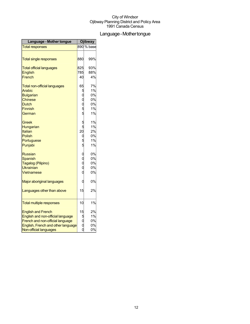## Language-Mothertongue

| <b>Language - Mother tongue</b>     |                         | Ojibway    |
|-------------------------------------|-------------------------|------------|
| <b>Total responses</b>              |                         | 890 % base |
|                                     |                         |            |
| <b>Total single responses</b>       | 880                     | 99%        |
| <b>Total official languages</b>     | 825                     | 93%        |
| <b>English</b>                      | 785                     | 88%        |
| French                              | 40                      | 4%         |
| <b>Total non-official languages</b> | 65                      | 7%         |
| Arabic                              | 5                       | 1%         |
| <b>Bulgarian</b>                    |                         | 0%         |
| <b>Chinese</b>                      |                         | 0%         |
| <b>Dutch</b>                        | $0$<br>5                | 0%         |
| Finnish                             |                         | 1%         |
| German                              |                         | 1%         |
| Greek                               |                         | 1%         |
| Hungarian                           | 5                       | 1%         |
| Italian                             | 20                      | 2%         |
| <b>Polish</b>                       | 0                       | 0%         |
| Portuguese                          |                         | 1%         |
| Punjabi                             |                         | 1%         |
| <b>Russian</b>                      | O                       | 0%         |
| <b>Spanish</b>                      |                         | 0%         |
| Tagalog (Pilipino)                  | o<br>o                  | 0%         |
| <b>Ukrainian</b>                    |                         | 0%         |
| <b>Vietnamese</b>                   | Ó                       | 0%         |
| Major aboriginal languages          | 0                       | 0%         |
| Languages other than above          | 15                      | 2%         |
| <b>Total multiple responses</b>     | 10                      | 1%         |
| <b>English and French</b>           | 15                      | 2%         |
| English and non-official language   | 5                       | 1%         |
| French and non-official language    | $\overline{\mathrm{d}}$ | 0%         |
| English, French and other language  |                         | 0%         |
| Non-official languages              |                         | 0%         |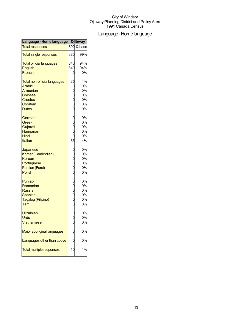## Language-Homelanguage

| Language - Home language            |                                              | <b>Ojibway</b> |
|-------------------------------------|----------------------------------------------|----------------|
| <b>Total responses</b>              |                                              | 890 % base     |
| <b>Total single responses</b>       | 880                                          | 99%            |
| <b>Total official languages</b>     | 840                                          | 94%            |
| English                             | 840                                          | 94%            |
| French                              | 0                                            | 0%             |
| <b>Total non-official languages</b> | 35                                           | 4%             |
| <b>Arabic</b>                       | o<br>o<br>o<br>o<br>o                        | 0%             |
| Armenian                            |                                              | 0%             |
| <b>Chinese</b>                      |                                              | 0%             |
| <b>Creoles</b>                      |                                              | 0%             |
| Croatian                            |                                              | 0%             |
| <b>Dutch</b>                        |                                              | 0%             |
| German                              | $\begin{array}{c}\n0 \\ 0 \\ 0\n\end{array}$ | 0%             |
| Greek                               |                                              | 0%             |
| Gujarati                            |                                              | 0%             |
| Hungarian                           |                                              | 0%             |
| Hindi                               | $\overline{0}$                               | 0%             |
| Italian                             | 35                                           | 4%             |
| Japanese                            | ooooo                                        | 0%             |
| Khmer (Cambodian)                   |                                              | 0%             |
| Korean                              |                                              | 0%             |
| Portuguese                          |                                              | 0%             |
| Persian (Farsi)                     |                                              | 0%             |
| <b>Polish</b>                       |                                              | 0%             |
| Punjabi                             | ooooo                                        | 0%             |
| Romanian                            |                                              | 0%             |
| <b>Russian</b>                      |                                              | 0%             |
| Spanish                             |                                              | 0%             |
| Tagalog (Pilipino)                  |                                              | 0%             |
| Tamil                               |                                              | 0%             |
| Ukrainian                           |                                              | 0%             |
| <b>Urdu</b>                         | $0$<br>$0$                                   | 0%             |
| Vietnamese                          |                                              | 0%             |
| <b>Major aboriginal languages</b>   |                                              | 0%             |
| Languages other than above          |                                              | 0%             |
| <b>Total multiple responses</b>     | 10                                           | 1%             |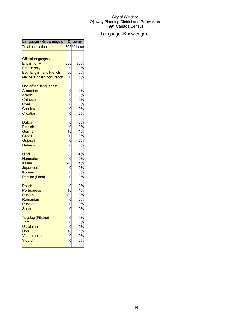## Language - Knowledge of

| Language - Knowledge of Ojibway                   |                                      |            |
|---------------------------------------------------|--------------------------------------|------------|
| <b>Total population</b>                           |                                      | 895 % base |
| <b>Official languages:</b><br><b>English only</b> | 850                                  | 95%        |
| <b>French only</b>                                | 0                                    | 0%         |
| <b>Both English and French</b>                    | 50                                   | 6%         |
| Neither English nor French                        | 0                                    | 0%         |
| Non-official languages:                           |                                      |            |
| Armenian                                          | 0                                    | 0%         |
| Arabic                                            |                                      | 0%         |
| <b>Chinese</b>                                    |                                      | 0%         |
| Cree                                              |                                      | 0%         |
| <b>Creoles</b>                                    |                                      | 0%         |
| Croatian                                          | 00000                                | 0%         |
| <b>Dutch</b>                                      | $\overline{0}$                       | 0%         |
| <b>Finnish</b>                                    | $\overline{0}$                       | 0%         |
| German                                            | 10                                   | 1%         |
| Greek                                             | 0<br>0                               | 0%         |
| Gujarati                                          |                                      | 0%         |
| <b>Hebrew</b>                                     | $\overline{0}$                       | 0%         |
| <b>Hindi</b>                                      | 35                                   | 4%         |
| Hungarian                                         | 0                                    | 0%         |
| <b>Italian</b>                                    | 40                                   | 4%         |
| Japanese                                          | 0                                    | 0%         |
| Korean                                            |                                      | 0%         |
| Persian (Farsi)                                   | Ó                                    | 0%         |
| Polish                                            | 0                                    | 0%         |
| Portuguese                                        | 10                                   | 1%         |
| Punjabi                                           | 30                                   | 3%         |
| Romanian                                          | 0                                    | 0%         |
| <b>Russian</b>                                    | $\overline{0}$                       | 0%         |
| <b>Spanish</b>                                    | $\overline{0}$                       | 0%         |
| Tagalog (Pilipino)                                | $\mathbf 0$                          | 0%         |
| Tamil                                             |                                      | 0%         |
| Ukrainian                                         | $\overline{0}$                       | 0%         |
| Urdu                                              | 10                                   | 1%         |
| Vietnamese                                        |                                      | 0%         |
| Yiddish                                           | $\begin{matrix} 0 \\ 0 \end{matrix}$ | 0%         |
|                                                   |                                      |            |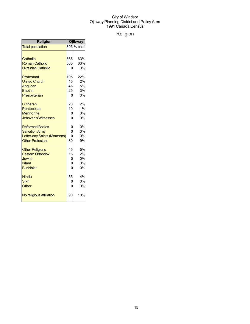## Religion

| <b>Religion</b>             | Ojibway         |            |
|-----------------------------|-----------------|------------|
| <b>Total population</b>     |                 | 895 % base |
|                             |                 |            |
| Catholic                    | 565             | 63%        |
| <b>Roman Catholic</b>       | 565             | 63%        |
| <b>Ukrainian Catholic</b>   |                 | 0%         |
| Protestant                  | 195             | 22%        |
| <b>United Church</b>        | 15              | 2%         |
| Anglican                    | 45              | 5%         |
| <b>Baptist</b>              | 25              | 3%         |
| Presbyterian                |                 | 0%         |
| Lutheran                    | 20              | 2%         |
| Pentecostal                 | 10              | 1%         |
| <b>Mennonite</b>            | 0               | 0%         |
| <b>Jehovah's Witnesses</b>  |                 | 0%         |
| <b>Reformed Bodies</b>      | 0               | 0%         |
| <b>Salvation Army</b>       | Ó               | 0%         |
| Latter-day Saints (Mormons) |                 | 0%         |
| <b>Other Protestant</b>     | 80 <sup>1</sup> | 9%         |
| <b>Other Religions</b>      | 45              | 5%         |
| <b>Eastern Orthodox</b>     | 15              | 2%         |
| <b>Jewish</b>               | O               | 0%         |
| Islam                       |                 | 0%         |
| <b>Buddhist</b>             |                 | 0%         |
| <b>Hindu</b>                | 35              | 4%         |
| <b>Sikh</b>                 |                 | 0%         |
| <b>Other</b>                |                 | 0%         |
| No religious affiliation    | 90              | 10%        |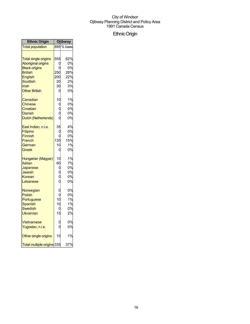## EthnicOrigin

| <b>Ethnic Origin</b>                                                                                                                                              |                                         | Ojibway                                         |
|-------------------------------------------------------------------------------------------------------------------------------------------------------------------|-----------------------------------------|-------------------------------------------------|
| <b>Total population</b>                                                                                                                                           |                                         | $\overline{895}$ % base                         |
| <b>Total single origins</b><br><b>Aboriginal origins</b><br><b>Black origins</b><br><b>British</b><br>English<br><b>Scottish</b><br>Irish<br><b>Other British</b> | 555<br>ſ<br>250<br>200<br>20<br>30<br>0 | 62%<br>0%<br>0%<br>28%<br>22%<br>2%<br>3%<br>0% |
| Canadian<br>Chinese<br>Croatian<br>Danish<br>Dutch (Netherlands)                                                                                                  | 10<br>O                                 | 1%<br>0%<br>0%<br>0%<br>0%                      |
| East Indian, n.i.e.<br>Filipino<br>Finnish<br>French<br>German<br>Greek                                                                                           | 35<br>С<br>135<br>10<br>0               | 4%<br>0%<br>0%<br>15%<br>1%<br>0%               |
| Hungarian (Magyar)<br>Italian<br>Japanese<br>Jewish<br>Korean<br>Lebanese                                                                                         | 10<br>60<br>0                           | 1%<br>7%<br>0%<br>0%<br>0%<br>0%                |
| Norwegian<br><b>Polish</b><br>Portuguese<br><b>Spanish</b><br>Swedish<br>Ukrainian                                                                                | C<br>10<br>10<br>0<br>15                | 0%<br>0%<br>1%<br>1%<br>0%<br>2%                |
| Vietnamese<br>Yugoslav, n.i.e.                                                                                                                                    |                                         | 0%<br>0%                                        |
| Other single origins                                                                                                                                              | 10                                      | 1%                                              |
| Total multiple origins 335                                                                                                                                        |                                         | 37%                                             |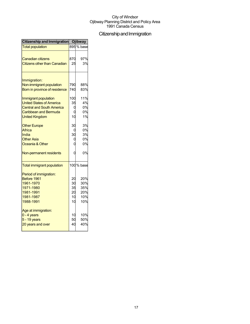## Citizenship and Immigration

| Citizenship and Immigration Ojibway                                                                                                           |                                  |                                        |
|-----------------------------------------------------------------------------------------------------------------------------------------------|----------------------------------|----------------------------------------|
| <b>Total population</b>                                                                                                                       |                                  | 895 % base                             |
| <b>Canadian citizens</b><br><b>Citizens other than Canadian</b>                                                                               | 870<br>25                        | 97%<br>3%                              |
| Immigration:<br>Non-immigrant population<br>Born in province of residence                                                                     | 790<br>740                       | 88%<br>83%                             |
| Immigrant population<br><b>United States of America</b><br><b>Central and South America</b><br>Caribbean and Bermuda<br><b>United Kingdom</b> | 100<br>35<br>10                  | 11%<br>4%<br>0%<br>0%<br>1%            |
| <b>Other Europe</b><br>Africa<br>India<br><b>Other Asia</b><br>Oceania & Other                                                                | 30<br>30<br>C                    | 3%<br>0%<br>3%<br>0%<br>0%             |
| Non-permanent residents                                                                                                                       | 0                                | 0%                                     |
| <b>Total immigrant population</b>                                                                                                             |                                  | 100 % base                             |
| Period of immigration:<br>Before 1961<br>1961-1970<br>1971-1980<br>1981-1991<br>1981-1987<br>1988-1991                                        | 20<br>30<br>35<br>20<br>10<br>10 | 20%<br>30%<br>35%<br>20%<br>10%<br>10% |
| Age at immigration:<br>$0 - 4$ years<br>$5 - 19$ years<br>20 years and over                                                                   | 10<br>50<br>40                   | 10%<br>50%<br>40%                      |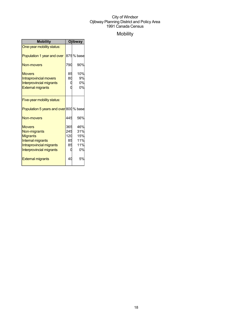## Mobility

| <b>Mobility</b>                                                                                                                             | <b>Ojibway</b>                |                                       |
|---------------------------------------------------------------------------------------------------------------------------------------------|-------------------------------|---------------------------------------|
| One-year mobility status:                                                                                                                   |                               |                                       |
| Population 1 year and over                                                                                                                  |                               | 875 % base                            |
| Non-movers                                                                                                                                  | 790                           | 90%                                   |
| <b>Movers</b><br>Intraprovincial movers<br><b>Interprovincial migrants</b><br><b>External migrants</b>                                      | 85<br>80                      | 10%<br>9%<br>0%<br>0%                 |
| Five-year mobility status:                                                                                                                  |                               |                                       |
| Population 5 years and over 800 % base                                                                                                      |                               |                                       |
| Non-movers                                                                                                                                  | 445                           | 56%                                   |
| <b>Movers</b><br>Non-migrants<br><b>Migrants</b><br><b>Internal migrants</b><br>Intraprovincial migrants<br><b>Interprovincial migrants</b> | 365<br>245<br>120<br>85<br>85 | 46%<br>31%<br>15%<br>11%<br>11%<br>0% |
| <b>External migrants</b>                                                                                                                    | 40                            | 5%                                    |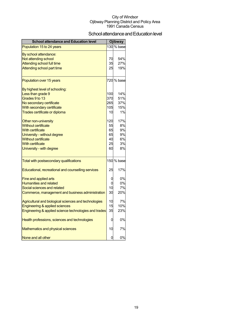## School attendance and Education level

| <b>School attendance and Education level</b>          |     | <b>Ojibway</b>          |  |
|-------------------------------------------------------|-----|-------------------------|--|
| Population 15 to 24 years                             |     | $\overline{130}$ % base |  |
| By school attendance:                                 |     |                         |  |
| Not attending school                                  | 70  | 54%                     |  |
| <b>Attending school full time</b>                     | 35  | 27%                     |  |
| Attending school part time                            | 25  | 19%                     |  |
| Population over 15 years                              |     | 720 % base              |  |
| By highest level of schooling:                        |     |                         |  |
| Less than grade 9                                     | 100 | 14%                     |  |
| Grades 9 to 13                                        | 370 | 51%                     |  |
| No secondary certificate                              | 265 | 37%                     |  |
| With secondary certificate                            | 105 | 15%                     |  |
| Trades certificate or diploma                         | 10  | 1%                      |  |
| Other non-university                                  | 120 | 17%                     |  |
| <b>Without certificate</b>                            | 55  | 8%                      |  |
| <b>With certificate</b>                               | 65  | 9%                      |  |
| University - without degree                           | 65  | 9%                      |  |
| <b>Without certificate</b>                            | 40  | 6%                      |  |
| <b>With certificate</b>                               | 25  | 3%                      |  |
| University - with degree                              | 60  | 8%                      |  |
| Total with postsecondary qualifications               |     | 150 % base              |  |
| Educational, recreational and counselling services    | 25  | 17%                     |  |
| Fine and applied arts                                 | 0   | 0%                      |  |
| <b>Humanities and related</b>                         | 0   | 0%                      |  |
| Social sciences and related                           | 10  | 7%                      |  |
| Commerce, management and business administration      | 30  | 20%                     |  |
| Agricultural and biological sciences and technologies | 10  | 7%                      |  |
| Engineering & applied sciences                        | 15  | 10%                     |  |
| Engineering & applied science technologies and trades | 35  | 23%                     |  |
| Health professions, sciences and technologies         | 0   | 0%                      |  |
| Mathematics and physical sciences                     | 10  | 7%                      |  |
| None and all other                                    | 0   | 0%                      |  |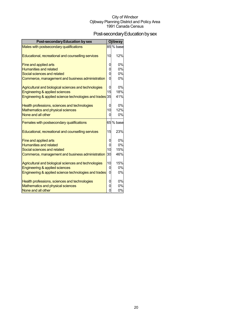## Post-secondary Education by sex

| <b>Post-secondary Education by sex</b>                   |          | <b>Ojibway</b> |
|----------------------------------------------------------|----------|----------------|
| Males with postsecondary qualifications                  |          | 85 % base      |
| Educational, recreational and counselling services       | 10       | 12%            |
| Fine and applied arts                                    | 0        | 0%             |
| <b>Humanities and related</b>                            | $\Omega$ | 0%             |
| Social sciences and related                              | $\Omega$ | 0%             |
| Commerce, management and business administration         | $\Omega$ | 0%             |
| Agricultural and biological sciences and technologies    | 0        | 0%             |
| Engineering & applied sciences                           | 15       | 18%            |
| Engineering & applied science technologies and trades 35 |          | 41%            |
| Health professions, sciences and technologies            | 0        | 0%             |
| <b>Mathematics and physical sciences</b>                 | 10       | 12%            |
| None and all other                                       | $\Omega$ | 0%             |
| Females with postsecondary qualifications                |          | 65 % base      |
| Educational, recreational and counselling services       | 15       | 23%            |
| Fine and applied arts                                    | 0        | 0%             |
| <b>Humanities and related</b>                            | $\Omega$ | 0%             |
| Social sciences and related                              | 10       | 15%            |
| Commerce, management and business administration         | 30       | 46%            |
| Agricultural and biological sciences and technologies    | 10       | 15%            |
| Engineering & applied sciences                           | 0        | 0%             |
| Engineering & applied science technologies and trades    | $\Omega$ | 0%             |
| Health professions, sciences and technologies            | 0        | 0%             |
| Mathematics and physical sciences                        | 0        | 0%             |
| None and all other                                       | $\Omega$ | 0%             |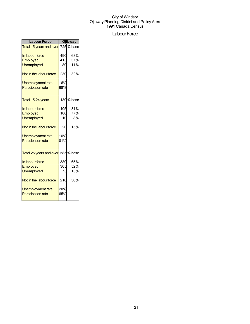## Labour Force

| <b>Labour Force</b>                            | <b>Ojibway</b> |            |
|------------------------------------------------|----------------|------------|
| Total 15 years and over 725 % base             |                |            |
| In labour force                                | 490            | 68%        |
| Employed                                       | 415            | 57%        |
| <b>Unemployed</b>                              | 80             | 11%        |
| Not in the labour force                        | 230            | 32%        |
| Unemployment rate                              | 16%            |            |
| <b>Participation rate</b>                      | 68%            |            |
| Total 15-24 years                              |                | 130 % base |
| In labour force                                | 105            | 81%        |
| Employed                                       | 100            | 77%        |
| <b>Unemployed</b>                              | 10             | 8%         |
| Not in the labour force                        | 20             | 15%        |
| Unemployment rate                              | 10%            |            |
| <b>Participation rate</b>                      | 81%            |            |
| Total 25 years and over                        |                | 585 % base |
| In labour force                                | 380            | 65%        |
| Employed                                       | 305            | 52%        |
| <b>Unemployed</b>                              | 75             | 13%        |
| Not in the labour force                        | 210            | 36%        |
| Unemployment rate<br><b>Participation rate</b> | 20%<br>65%     |            |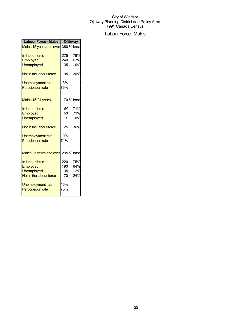## Labour Force - Males

| <b>Labour Force - Males</b>        | <b>Ojibway</b> |            |
|------------------------------------|----------------|------------|
| Males 15 years and over            |                | 360 % base |
| In labour force                    | 275            | 76%        |
| Employed                           | 240            | 67%        |
| <b>Unemployed</b>                  | 35             | 10%        |
| Not in the labour force            | 95             | 26%        |
| Unemployment rate                  | 13%            |            |
| <b>Participation rate</b>          | 76%            |            |
| Males 15-24 years                  |                | 70 % base  |
| In labour force                    | 50             | 71%        |
| Employed                           | 50             | 71%        |
| <b>Unemployed</b>                  | 0              | 0%         |
| Not in the labour force            | 25             | 36%        |
| Unemployment rate                  | 0%             |            |
| <b>Participation rate</b>          | 71%            |            |
| Males 25 years and over 295 % base |                |            |
| In labour force                    | 220            | 75%        |
| Employed                           | 190            | 64%        |
| <b>Unemployed</b>                  | 35             | 12%        |
| Not in the labour force            | 70             | 24%        |
| Unemployment rate                  | 16%            |            |
| <b>Participation rate</b>          | 75%            |            |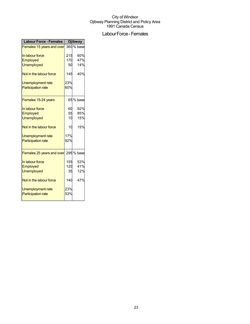## Labour Force - Females

| <b>Labour Force - Females</b> |     | <b>Ojibway</b> |
|-------------------------------|-----|----------------|
| Females 15 years and over     |     | 360 % base     |
| In labour force               | 215 | 60%            |
| Employed                      | 170 | 47%            |
| <b>Unemployed</b>             | 50  | 14%            |
| Not in the labour force       | 145 | 40%            |
| Unemployment rate             | 23% |                |
| <b>Participation rate</b>     | 60% |                |
| Females 15-24 years           |     | 65% base       |
| In labour force               | 60  | 92%            |
| Employed                      | 55  | 85%            |
| <b>Unemployed</b>             | 10  | 15%            |
| Not in the labour force       | 10  | 15%            |
| Unemployment rate             | 17% |                |
| <b>Participation rate</b>     | 92% |                |
| Females 25 years and over     |     | 295 % base     |
| In labour force               | 155 | 53%            |
| Employed                      | 120 | 41%            |
| <b>Unemployed</b>             | 35  | 12%            |
| Not in the labour force       | 140 | 47%            |
| Unemployment rate             | 23% |                |
| <b>Participation rate</b>     | 53% |                |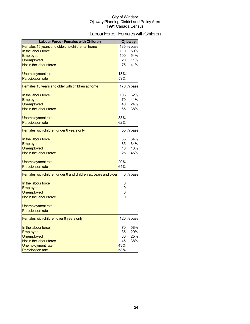## Labour Force - Females with Children

| Females, 15 years and older, no children at home<br>185 % base<br>In the labour force<br>110<br>59%<br>100<br>54%<br>Employed<br><b>Unemployed</b><br>11%<br>20<br>Not in the labour force<br>41%<br>75<br>18%<br>Unemployment rate<br>59%<br><b>Participation rate</b><br>170 % base<br>Females 15 years and older with children at home |
|-------------------------------------------------------------------------------------------------------------------------------------------------------------------------------------------------------------------------------------------------------------------------------------------------------------------------------------------|
|                                                                                                                                                                                                                                                                                                                                           |
|                                                                                                                                                                                                                                                                                                                                           |
|                                                                                                                                                                                                                                                                                                                                           |
|                                                                                                                                                                                                                                                                                                                                           |
|                                                                                                                                                                                                                                                                                                                                           |
|                                                                                                                                                                                                                                                                                                                                           |
|                                                                                                                                                                                                                                                                                                                                           |
|                                                                                                                                                                                                                                                                                                                                           |
|                                                                                                                                                                                                                                                                                                                                           |
| In the labour force<br>105<br>62%                                                                                                                                                                                                                                                                                                         |
| 41%<br><b>Employed</b><br>70                                                                                                                                                                                                                                                                                                              |
| 40<br>24%<br>Unemployed                                                                                                                                                                                                                                                                                                                   |
| Not in the labour force<br>38%<br>65                                                                                                                                                                                                                                                                                                      |
|                                                                                                                                                                                                                                                                                                                                           |
| 38%<br>Unemployment rate                                                                                                                                                                                                                                                                                                                  |
| 62%<br><b>Participation rate</b>                                                                                                                                                                                                                                                                                                          |
|                                                                                                                                                                                                                                                                                                                                           |
| 55 % base<br>Females with children under 6 years only                                                                                                                                                                                                                                                                                     |
| In the labour force<br>35<br>64%                                                                                                                                                                                                                                                                                                          |
| 64%<br>Employed<br>35                                                                                                                                                                                                                                                                                                                     |
| <b>Unemployed</b><br>18%<br>10                                                                                                                                                                                                                                                                                                            |
| Not in the labour force<br>25<br>45%                                                                                                                                                                                                                                                                                                      |
|                                                                                                                                                                                                                                                                                                                                           |
| 29%<br>Unemployment rate                                                                                                                                                                                                                                                                                                                  |
| 64%<br><b>Participation rate</b>                                                                                                                                                                                                                                                                                                          |
| % base<br>Females with children under 6 and children six years and older<br>0                                                                                                                                                                                                                                                             |
| In the labour force<br>0                                                                                                                                                                                                                                                                                                                  |
| 0<br>Employed                                                                                                                                                                                                                                                                                                                             |
| 0<br><b>Unemployed</b>                                                                                                                                                                                                                                                                                                                    |
| Not in the labour force<br>0                                                                                                                                                                                                                                                                                                              |
| Unemployment rate                                                                                                                                                                                                                                                                                                                         |
| <b>Participation rate</b>                                                                                                                                                                                                                                                                                                                 |
| 120 % base<br>Females with children over 6 years only                                                                                                                                                                                                                                                                                     |
| In the labour force<br>70<br>58%                                                                                                                                                                                                                                                                                                          |
| 35<br>29%<br>Employed                                                                                                                                                                                                                                                                                                                     |
| 25%<br>Unemployed<br>30                                                                                                                                                                                                                                                                                                                   |
| Not in the labour force<br>45<br>38%                                                                                                                                                                                                                                                                                                      |
| 43%<br>Unemployment rate                                                                                                                                                                                                                                                                                                                  |
| 58%<br><b>Participation rate</b>                                                                                                                                                                                                                                                                                                          |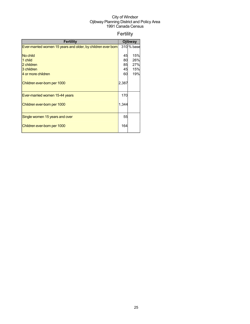## Fertility

| <b>Fertility</b>                                             |       | Ojibway    |
|--------------------------------------------------------------|-------|------------|
| Ever-married women 15 years and older, by children ever born |       | 310 % base |
|                                                              |       |            |
| No child                                                     | 45    | 15%        |
| 1 child                                                      | 80    | 26%        |
| 2 children                                                   | 85    | 27%        |
| 3 children                                                   | 45    | 15%        |
| 4 or more children                                           | 60    | 19%        |
| Children ever-born per 1000                                  | 2,387 |            |
| Ever-married women 15-44 years                               | 170   |            |
| Children ever-born per 1000                                  | 1,344 |            |
| Single women 15 years and over                               | 55    |            |
| Children ever-born per 1000                                  | 164   |            |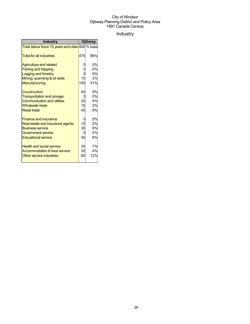## Industry

| <b>Industry</b>                                  |     | Ojibway |
|--------------------------------------------------|-----|---------|
| Total labour force 15 years and older 490 % base |     |         |
| <b>Total for all industries</b>                  | 470 | 96%     |
| <b>Agriculture and related</b>                   |     | 0%      |
| <b>Fishing and trapping</b>                      |     | 0%      |
| Logging and forestry                             |     | 0%      |
| Mining, quarrying & oil wells                    | 10  | 2%      |
| Manufacturing                                    | 150 | 31%     |
| Construction                                     | 45  | 9%      |
| <b>Transportation and storage</b>                |     | 0%      |
| <b>Communication and utilities</b>               | 20  | 4%      |
| <b>Wholesale trade</b>                           | 10  | 2%      |
| <b>Retail trade</b>                              | 45  | 9%      |
| <b>Finance and insurance</b>                     |     | 0%      |
| Real estate and insurance agents                 | 10  | 2%      |
| <b>Business service</b>                          | 30  | 6%      |
| Government service                               |     | 0%      |
| <b>Educational service</b>                       | 30  | 6%      |
| <b>Health and social service</b>                 | 35  | 7%      |
| <b>Accommodation &amp; food service</b>          | 20  | 4%      |
| Other service industries                         | 60  | 12%     |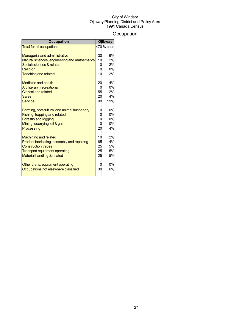## **Occupation**

| <b>Occupation</b>                             |    | Ojibway    |
|-----------------------------------------------|----|------------|
| <b>Total for all occupations</b>              |    | 470 % base |
|                                               |    |            |
| <b>Managerial and administrative</b>          | 30 | 6%         |
| Natural sciences, engineering and mathematics | 10 | 2%         |
| Social sciences & related                     | 10 | 2%         |
| Religion                                      | O  | 0%         |
| <b>Teaching and related</b>                   | 10 | 2%         |
| <b>Medicine and health</b>                    | 20 | 4%         |
| Art, literary, recreational                   | 0  | 0%         |
| <b>Clerical and related</b>                   | 55 | 12%        |
| <b>Sales</b>                                  | 20 | 4%         |
| Service                                       | 90 | 19%        |
| Farming, horticultural and animal husbandry   |    | 0%         |
| Fishing, trapping and related                 |    | 0%         |
| <b>Forestry and logging</b>                   |    | 0%         |
| Mining, quarrying, oil & gas                  |    | 0%         |
| Processing                                    | 20 | 4%         |
| <b>Machining and related</b>                  | 10 | 2%         |
| Product fabricating, assembly and repairing   | 65 | 14%        |
| <b>Construction trades</b>                    | 25 | 5%         |
| <b>Transport equipment operating</b>          | 25 | 5%         |
| Material handling & related                   | 25 | 5%         |
|                                               |    |            |
| Other crafts, equipment operating             |    | 0%         |
| Occupations not elsewhere classified          | 30 | 6%         |
|                                               |    |            |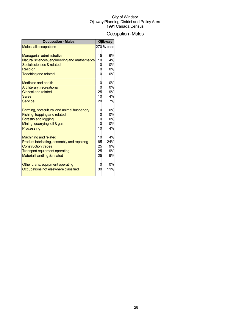## Occupation-Males

| <b>Occupation - Males</b>                     |    | <b>Ojibway</b> |
|-----------------------------------------------|----|----------------|
| Males, all occupations                        |    | 270 % base     |
|                                               |    |                |
| Managerial, administrative                    | 15 | 6%             |
| Natural sciences, engineering and mathematics | 10 | 4%             |
| Social sciences & related                     | 0  | 0%             |
| Religion                                      |    | 0%             |
| <b>Teaching and related</b>                   |    | 0%             |
| <b>Medicine and health</b>                    |    | 0%             |
| Art, literary, recreational                   |    | 0%             |
| <b>Clerical and related</b>                   | 25 | 9%             |
| <b>Sales</b>                                  | 10 | 4%             |
| <b>Service</b>                                | 20 | 7%             |
|                                               |    |                |
| Farming, horticultural and animal husbandry   |    | 0%             |
| Fishing, trapping and related                 |    | 0%             |
| <b>Forestry and logging</b>                   |    | 0%             |
| Mining, quarrying, oil & gas                  | C  | 0%             |
| Processing                                    | 10 | 4%             |
|                                               |    |                |
| <b>Machining and related</b>                  | 10 | 4%             |
| Product fabricating, assembly and repairing   | 65 | 24%            |
| <b>Construction trades</b>                    | 25 | 9%             |
| <b>Transport equipment operating</b>          | 25 | 9%             |
| Material handling & related                   | 25 | 9%             |
|                                               |    |                |
| Other crafts, equipment operating             |    | 0%             |
| Occupations not elsewhere classified          | 30 | 11%            |
|                                               |    |                |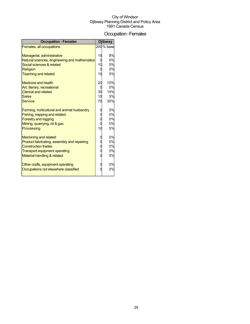## Occupation-Females

| <b>Occupation - Females</b>                   |    | <b>Ojibway</b> |
|-----------------------------------------------|----|----------------|
| Females, all occupations                      |    | 200 % base     |
|                                               |    |                |
| Managerial, administrative                    | 15 | 8%             |
| Natural sciences, engineering and mathematics | 0  | 0%             |
| Social sciences & related                     | 10 | 5%             |
| Religion                                      | 0  | 0%             |
| <b>Teaching and related</b>                   | 10 | 5%             |
| Medicine and health                           | 20 | 10%            |
| Art, literary, recreational                   | 0  | 0%             |
| <b>Clerical and related</b>                   | 30 | 15%            |
| <b>Sales</b>                                  | 10 | 5%             |
| Service                                       | 70 | 35%            |
|                                               |    |                |
| Farming, horticultural and animal husbandry   |    | 0%             |
| Fishing, trapping and related                 | C  | 0%             |
| <b>Forestry and logging</b>                   | C  | 0%             |
| Mining, quarrying, oil & gas                  | C  | 0%             |
| Processing                                    | 10 | 5%             |
| <b>Machining and related</b>                  | C  | 0%             |
| Product fabricating, assembly and repairing   | O  | 0%             |
| <b>Construction trades</b>                    | 0  | 0%             |
| <b>Transport equipment operating</b>          | 0  | 0%             |
| Material handling & related                   | C  | 0%             |
| Other crafts, equipment operating             | 0  | 0%             |
| Occupations not elsewhere classified          |    | 0%             |
|                                               |    |                |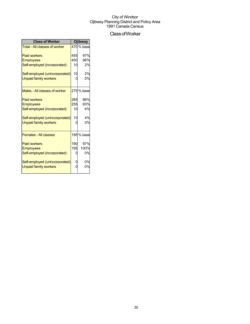## ClassofWorker

| <b>Class of Worker</b>               |     | <b>Ojibway</b> |  |
|--------------------------------------|-----|----------------|--|
| <b>Total - All classes of worker</b> |     | 470 % base     |  |
| <b>Paid workers</b>                  | 455 | 97%            |  |
| <b>Employees</b>                     | 450 | 96%            |  |
| Self-employed (incorporated)         | 10  | 2%             |  |
| Self-employed (unincorporated)       | 10  | 2%             |  |
| <b>Unpaid family workers</b>         |     | 0%             |  |
| Males - All classes of worker        |     | 275% base      |  |
| <b>Paid workers</b>                  | 265 | 96%            |  |
| <b>Employees</b>                     | 255 | 93%            |  |
| Self-employed (incorporated)         | 10  | 4%             |  |
| Self-employed (unincorporated)       | 10  | 4%             |  |
| <b>Unpaid family workers</b>         |     | 0%             |  |
| <b>Females - All classes</b>         |     | 195% base      |  |
| <b>Paid workers</b>                  | 190 | 97%            |  |
| <b>Employees</b>                     | 195 | 100%           |  |
| Self-employed (incorporated)         |     | 0%             |  |
| Self-employed (unincorporated)       |     | 0%             |  |
| <b>Unpaid family workers</b>         |     | 0%             |  |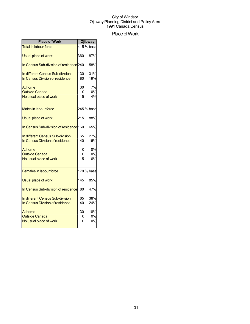## Place of Work

| <b>Place of Work</b>                    |     | Ojibway       |
|-----------------------------------------|-----|---------------|
| <b>Total in labour force</b>            |     | 415 $\%$ base |
| Usual place of work:                    | 360 | 87%           |
| In Census Sub-division of residence 240 |     | 58%           |
| In different Census Sub-division        | 130 | 31%           |
| In Census Division of residence         | 80  | 19%           |
| At home                                 | 30  | 7%            |
| <b>Outside Canada</b>                   | t   | 0%            |
| No usual place of work                  | 15  | 4%            |
| <b>Males in labour force</b>            |     | 245 % base    |
| Usual place of work:                    | 215 | 88%           |
| In Census Sub-division of residence 160 |     | 65%           |
| In different Census Sub-division        | 65  | 27%           |
| In Census Division of residence         | 40  | 16%           |
| At home                                 |     | 0%            |
| <b>Outside Canada</b>                   |     | 0%            |
| No usual place of work                  | 15  | 6%            |
| <b>Females in labour force</b>          |     | 170 % base    |
| Usual place of work:                    | 145 | 85%           |
| In Census Sub-division of residence     | 80  | 47%           |
| In different Census Sub-division        | 65  | 38%           |
| In Census Division of residence         | 40  | 24%           |
| At home                                 | 30  | 18%           |
| <b>Outside Canada</b>                   |     | 0%            |
| No usual place of work                  |     | 0%            |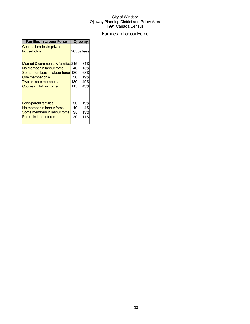## Families in Labour Force

| <b>Families in Labour Force</b>                                                                                                                                         | <b>Ojibway</b>         |                                        |  |
|-------------------------------------------------------------------------------------------------------------------------------------------------------------------------|------------------------|----------------------------------------|--|
| Census families in private<br>households                                                                                                                                |                        | 265% base                              |  |
| Married & common-law families 215<br>No member in labour force<br>Some members in labour force 180<br>One member only<br>Two or more members<br>Couples in labour force | 40<br>50<br>130<br>115 | 81%<br>15%<br>68%<br>19%<br>49%<br>43% |  |
| Lone-parent families<br>No member in labour force<br>Some members in labour force<br><b>Parent in labour force</b>                                                      | 50<br>10<br>35<br>30   | 19%<br>4%<br>13%<br>11%                |  |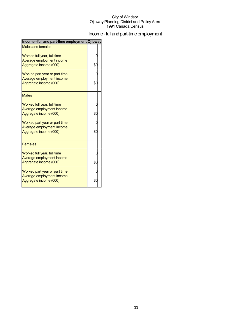## Income - full and part-time employment

| Income - full and part-time employment Ojibway             |     |  |
|------------------------------------------------------------|-----|--|
| <b>Males and females</b>                                   |     |  |
| Worked full year, full time                                |     |  |
| Average employment income<br>Aggregate income (000)        | \$С |  |
|                                                            |     |  |
| Worked part year or part time<br>Average employment income |     |  |
| Aggregate income (000)                                     | \$0 |  |
| <b>Males</b>                                               |     |  |
| Worked full year, full time                                |     |  |
| Average employment income<br>Aggregate income (000)        | \$0 |  |
| Worked part year or part time                              |     |  |
| Average employment income<br>Aggregate income (000)        | \$0 |  |
|                                                            |     |  |
| <b>Females</b>                                             |     |  |
| Worked full year, full time<br>Average employment income   |     |  |
| Aggregate income (000)                                     | \$С |  |
| Worked part year or part time                              |     |  |
| Average employment income<br>Aggregate income (000)        | \$0 |  |
|                                                            |     |  |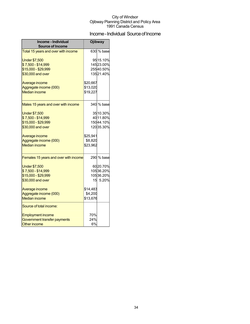## Income - Individual Source of Income

| Income - Individual<br><b>Source of Income</b> | Ojibway  |            |  |
|------------------------------------------------|----------|------------|--|
| Total 15 years and over with income            |          | 630 % base |  |
| <b>Under \$7,500</b>                           |          | 95 15.10%  |  |
| \$7,500 - \$14,999                             |          | 14523.00%  |  |
| \$15,000 - \$29,999                            |          | 25540.50%  |  |
| \$30,000 and over                              |          | 13521.40%  |  |
| Average income                                 | \$20,667 |            |  |
| Aggregate income (000)                         | \$13,020 |            |  |
| <b>Median income</b>                           | \$19,227 |            |  |
|                                                |          |            |  |
| Males 15 years and over with income            |          | 340 % base |  |
| <b>Under \$7,500</b>                           |          | 35 10.30%  |  |
| \$7,500 - \$14,999                             |          | 40 11.80%  |  |
| \$15,000 - \$29,999                            |          | 15044.10%  |  |
| \$30,000 and over                              |          | 12035.30%  |  |
| Average income                                 | \$25,941 |            |  |
| Aggregate income (000)                         | \$8,820  |            |  |
| <b>Median income</b>                           | \$23,962 |            |  |
| Females 15 years and over with income          |          | 290 % base |  |
|                                                |          |            |  |
| <b>Under \$7,500</b>                           |          | 6020.70%   |  |
| \$7,500 - \$14,999                             |          | 10536.20%  |  |
| \$15,000 - \$29,999                            |          | 10536.20%  |  |
| \$30,000 and over                              |          | 15 5.20%   |  |
| Average income                                 | \$14,483 |            |  |
| Aggregate income (000)                         | \$4,200  |            |  |
| <b>Median income</b>                           | \$13,676 |            |  |
| Source of total income:                        |          |            |  |
| <b>Employment income</b>                       | 70%      |            |  |
| Government transfer payments                   | 24%      |            |  |
| <b>Other income</b>                            | 6%       |            |  |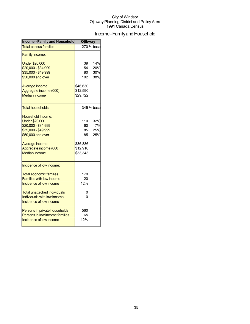## Income - Family and Household

| <b>Income - Family and Household</b>                                                                                                                                                                               | <b>Ojibway</b>                                            |                          |  |
|--------------------------------------------------------------------------------------------------------------------------------------------------------------------------------------------------------------------|-----------------------------------------------------------|--------------------------|--|
| <b>Total census families</b>                                                                                                                                                                                       |                                                           | 270 % base               |  |
| <b>Family Income:</b>                                                                                                                                                                                              |                                                           |                          |  |
| <b>Under \$20,000</b><br>\$20,000 - \$34,999<br>\$35,000 - \$49,999<br>\$50,000 and over                                                                                                                           | 39<br>54<br>80<br>102                                     | 14%<br>20%<br>30%<br>38% |  |
| Average income<br>Aggregate income (000)<br><b>Median income</b>                                                                                                                                                   | \$46,630<br>\$12,590<br>\$29,722                          |                          |  |
| <b>Total households</b>                                                                                                                                                                                            |                                                           | 345 % base               |  |
| Household Income:<br><b>Under \$20,000</b><br>\$20,000 - \$34,999<br>\$35,000 - \$49,999<br>\$50,000 and over<br>Average income<br>Aggregate income (000)<br><b>Median income</b>                                  | 110<br>60<br>85<br>85<br>\$36,886<br>\$12,910<br>\$33,343 | 32%<br>17%<br>25%<br>25% |  |
| Incidence of low income:<br><b>Total economic families</b><br><b>Families with low income</b><br>Incidence of low income<br>Total unattached individuals<br>Individuals with low income<br>Incidence of low income | 170<br>20<br>12%<br>0<br>0                                |                          |  |
| Persons in private households<br>Persons in low income families<br>Incidence of low income                                                                                                                         | 560<br>65<br>12%                                          |                          |  |